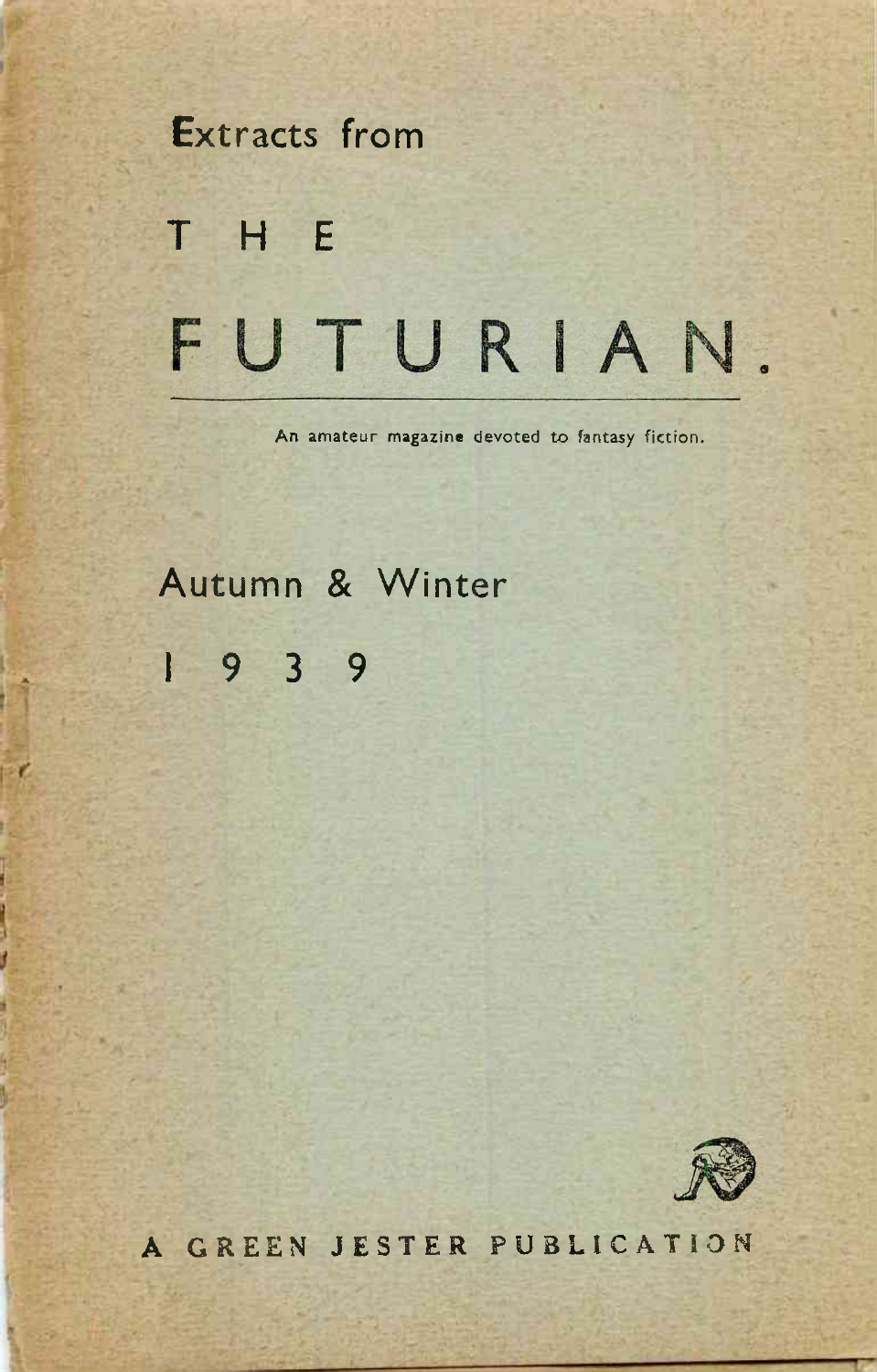# Extracts from THE FUTURIAN.

An amateur magazine devoted to fantasy fiction.

Autumn & Winter 19 <sup>3</sup> <sup>9</sup>

PC.

Ī

t



**A GREEN JESTER PUBLICATION**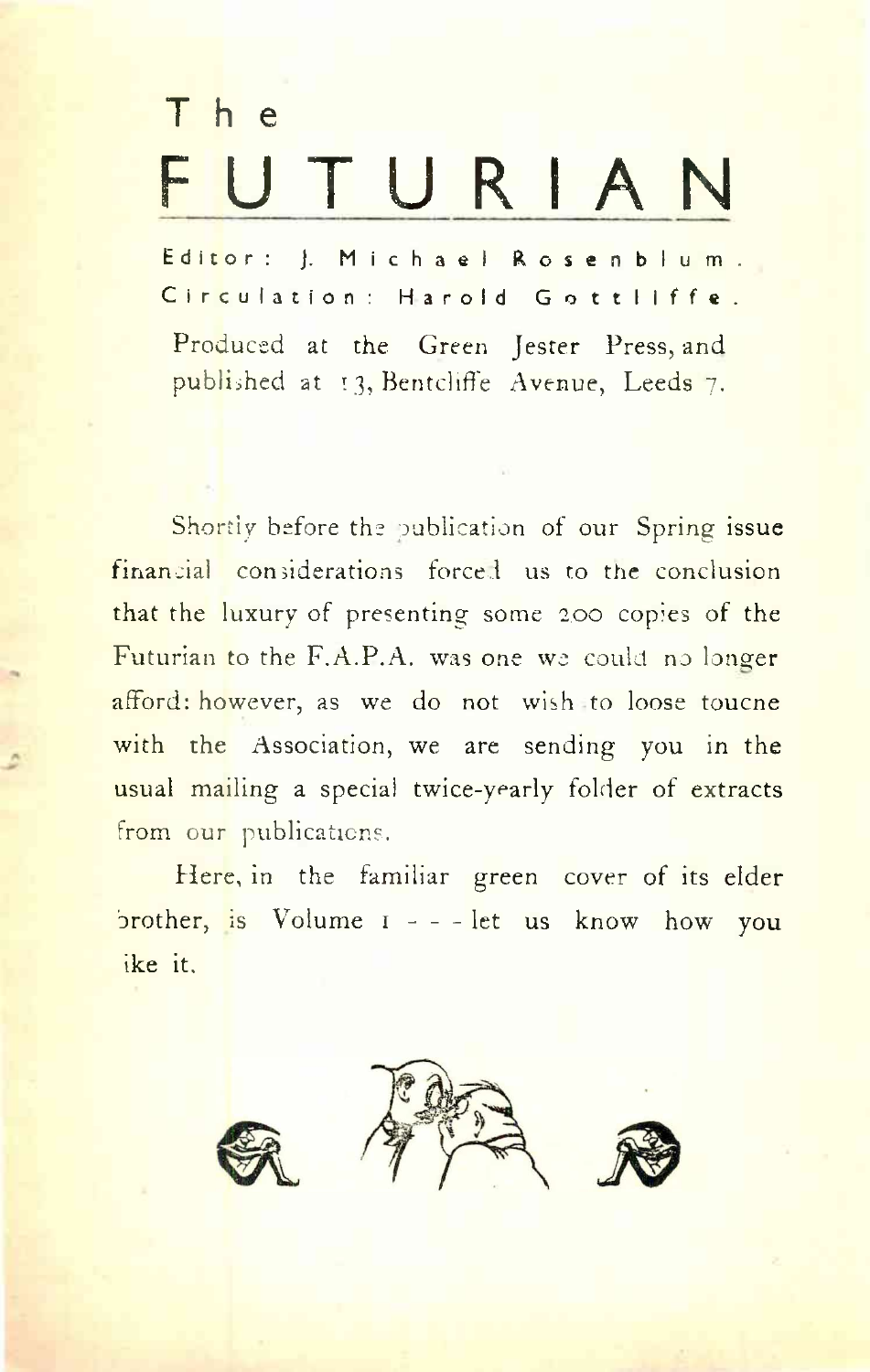# The FUTURIA

Editor: J. Michael Rosenblum. Circulation: Harold Gottliffe.

Produced at the Green Jester Press, and published at 13, Bentcliffe Avenue, Leeds 7.

Shortly before the publication of our Spring issue financial considerations forced us to the conclusion that the luxury of presenting some 2.00 copies of the Futurian to the F.A.P.A. was one we could no longer afford: however, as we do not wish to loose toucne with the Association, we are sending you in the usual mailing a special twice-yearly folder of extracts from our publications.

Here, in the familiar green cover of its elder  $\frac{1}{2}$  brother, is Volume  $1 - -$  let us know how you ike it.

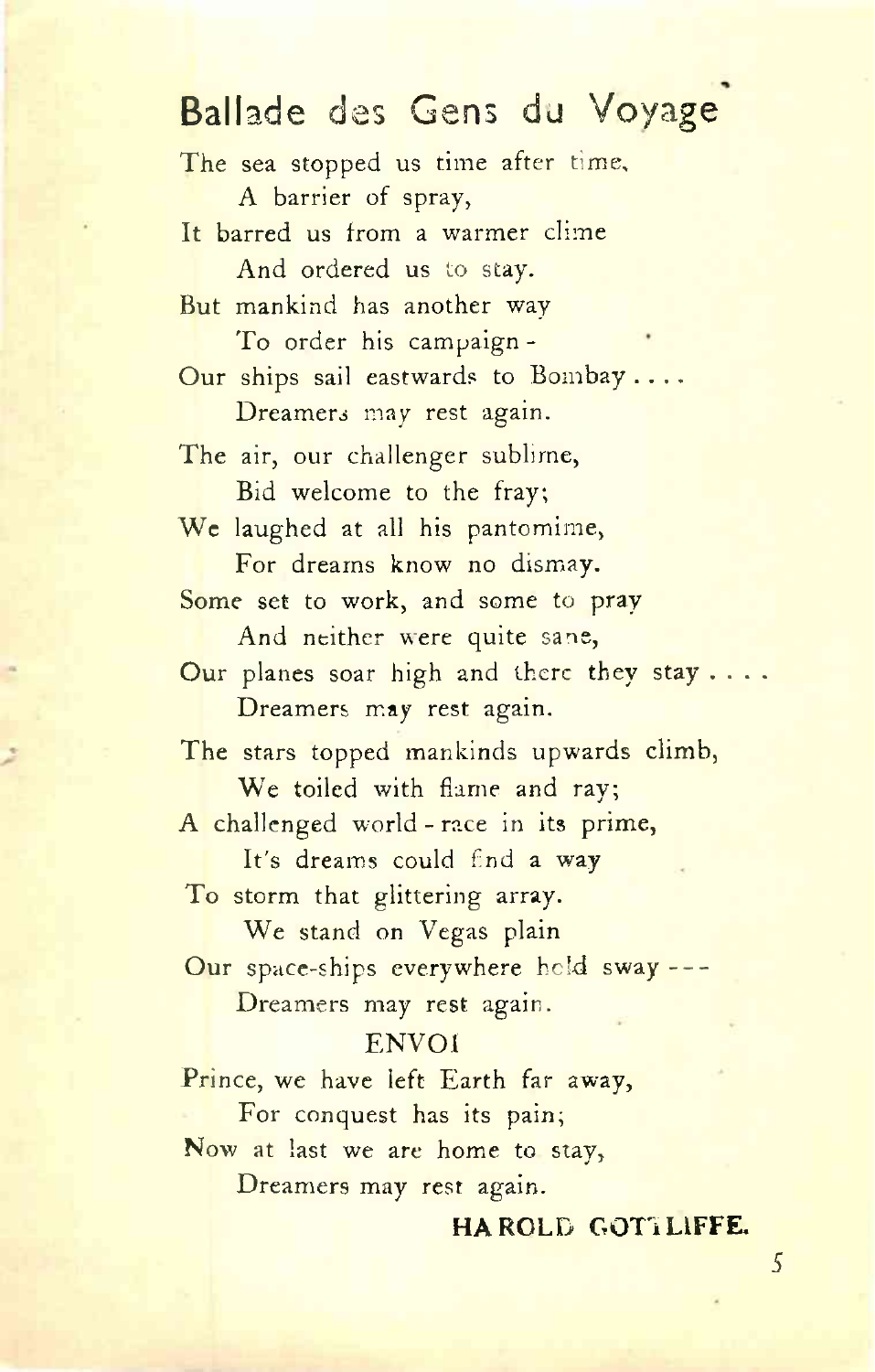### Ballade des Gens du Voyage

The sea stopped us time after time, A barrier of spray, It barred us from a warmer clime And ordered us to stay. But mankind has another way To order his campaign - Our ships sail eastwards to Bombay .... Dreamers may rest again. The air, our challenger sublime, Bid welcome to the fray; We laughed at all his pantomime, For dreams know no dismay. Some set to work, and some to pray And neither were quite sane, Our planes soar high and there they stay . . . . Dreamers may rest again. The stars topped mankinds upwards climb, We toiled with flame and ray; A challenged world - race in its prime, It'<sup>s</sup> dreams could fnd a way To storm that glittering array. We stand on Vegas plain Our space-ships everywhere held sway---- Dreamers may rest again. ENVOI Prince, we have left Earth far away, For conquest has its pain; Now at last we are home to stay,

Dreamers may rest again.

#### **HAROLD GOTTLIFFE.**

*5*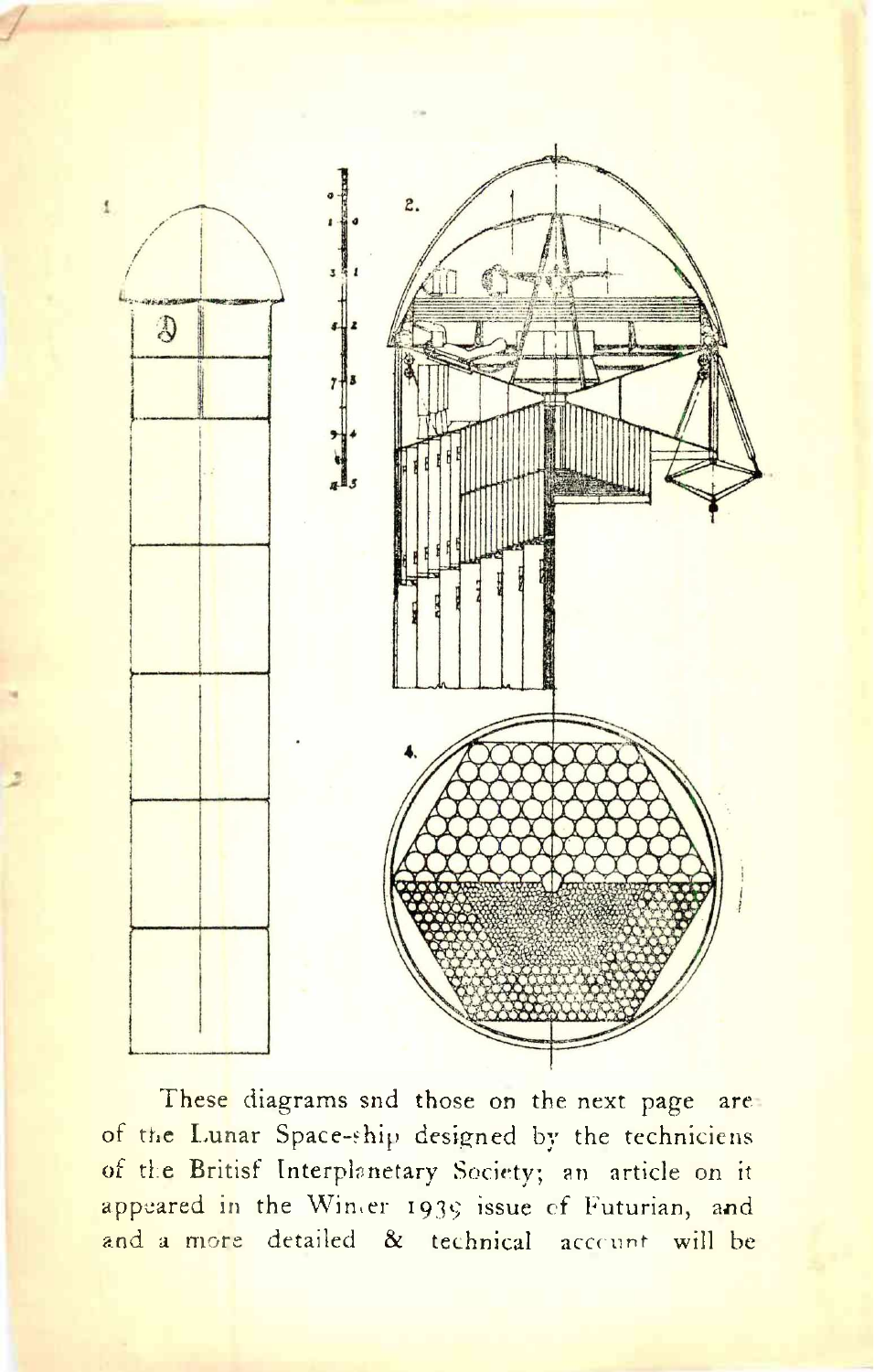

These diagrams snd those on the next page are. of the Lunar Space-ship designed by the techniciens of the Britisf Interplanetary Society; an article on it appeared in the Wimer 1939 issue of Futurian, and and a more detailed & technical account will be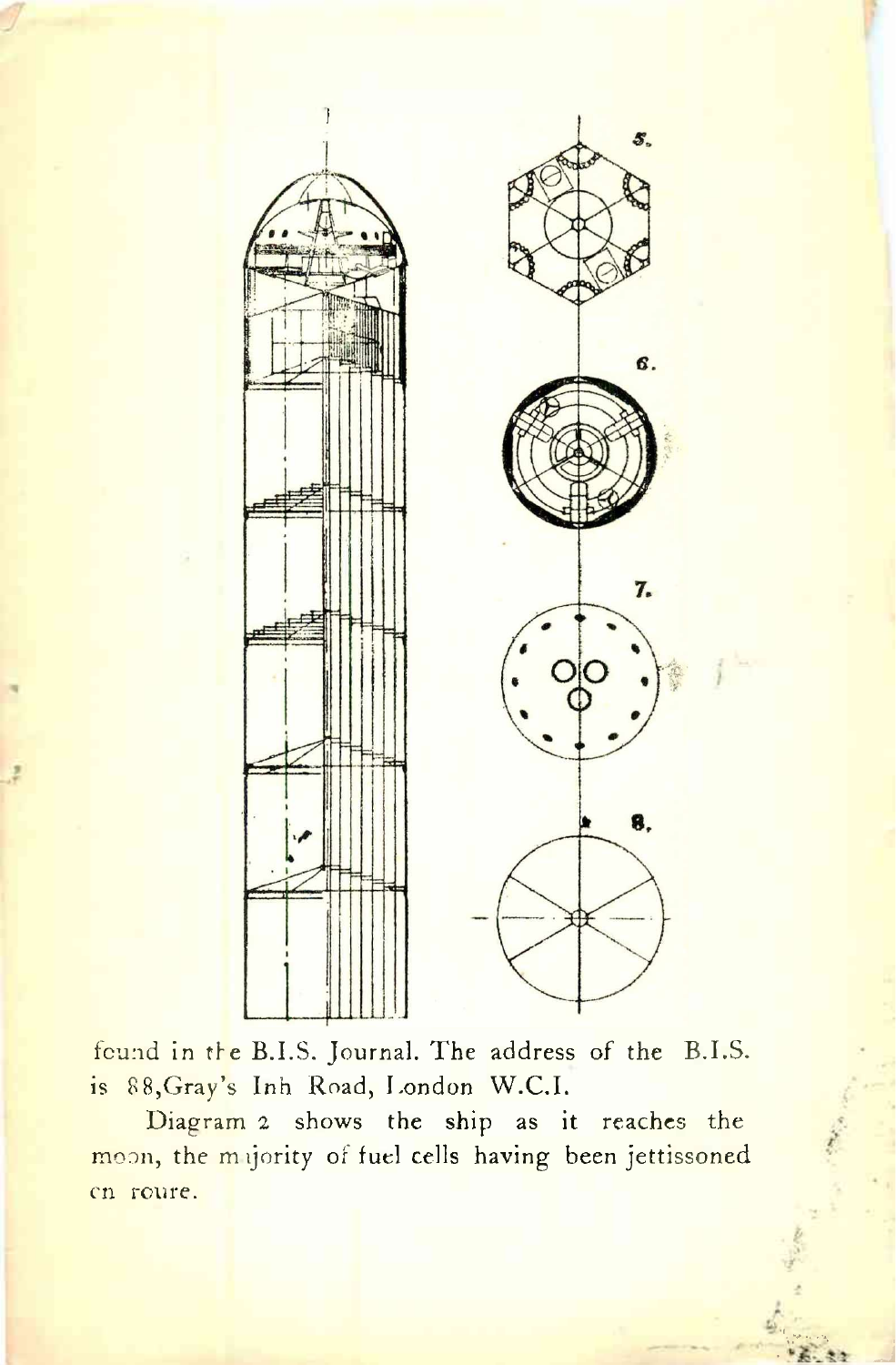

found in the B.I.S. Journal. The address of the B.I.S. is 88, Gray's Inh Road, London W.C.I.

Diagram 2 shows the ship as it reaches the moon, the majority of fuel cells having been jettissoned cn roure.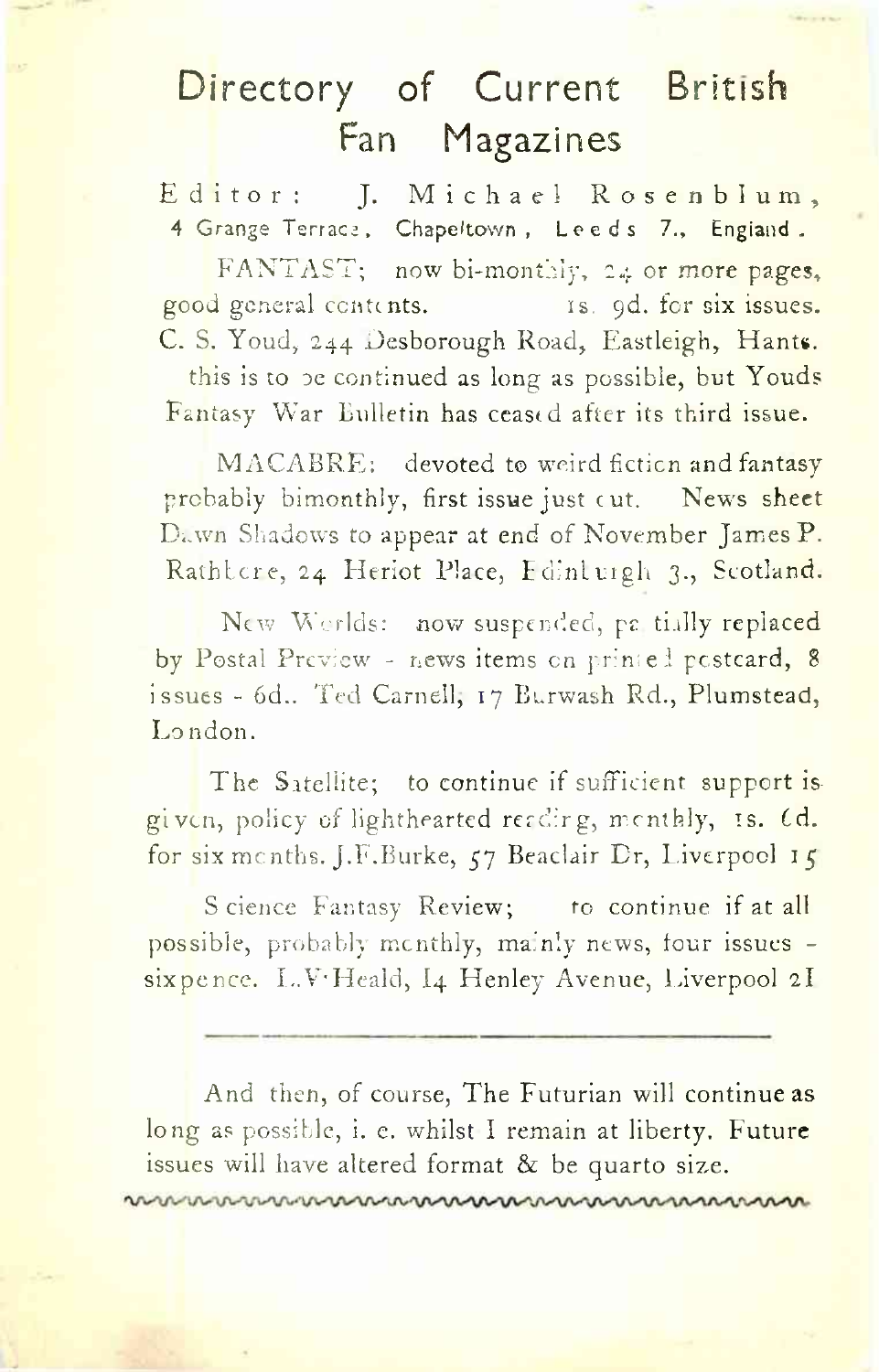## Directory of Current British Fan Magazines

Editor: J. Michael Rosenblum, 4 Grange Terrace, Chapeltown, Leeds 7., England.

FANTAST; now bi-monthly, 24 or more pages, good general centents. is. 9d. for six issues. C. S. Youd, 244 Desborough Road, Eastleigh, Hants,

this is to be continued as long as possible, but Youds Fantasy War Bulletin has ceased after its third issue.

MACABRE: devoted to weird fiction and fantasy probably bimonthly, first issue just cut. News sheet Dawn Shadows to appear at end of November James P. Rathbore, 24 Heriot Place, Edintuigh 3., Scotland.

New Worlds: now suspended, pa. tially replaced by Postal Preview - news items on printed postcard, 8 issues - 6d.. Ted Carnell, 17 Burwash Rd., Plumstead, London.

The Satellite; to continue if sufficient support is given, policy of lighthearted reading, monthly, is. Cd. for six months. J.F.Burke,  $57$  Beaclair Dr, Liverpool 15

S cience Fantasy Review; to continue if at all possible, probably monthly, mainly news, four issues sixpence. L.V-Heald, I4 Henley Avenue, Liverpool 2I

And then, of course, The Futurian will continue as long as possible, i. e. whilst I remain at liberty. Future issues will have altered format & be quarto size.

nannannannannannannannannannan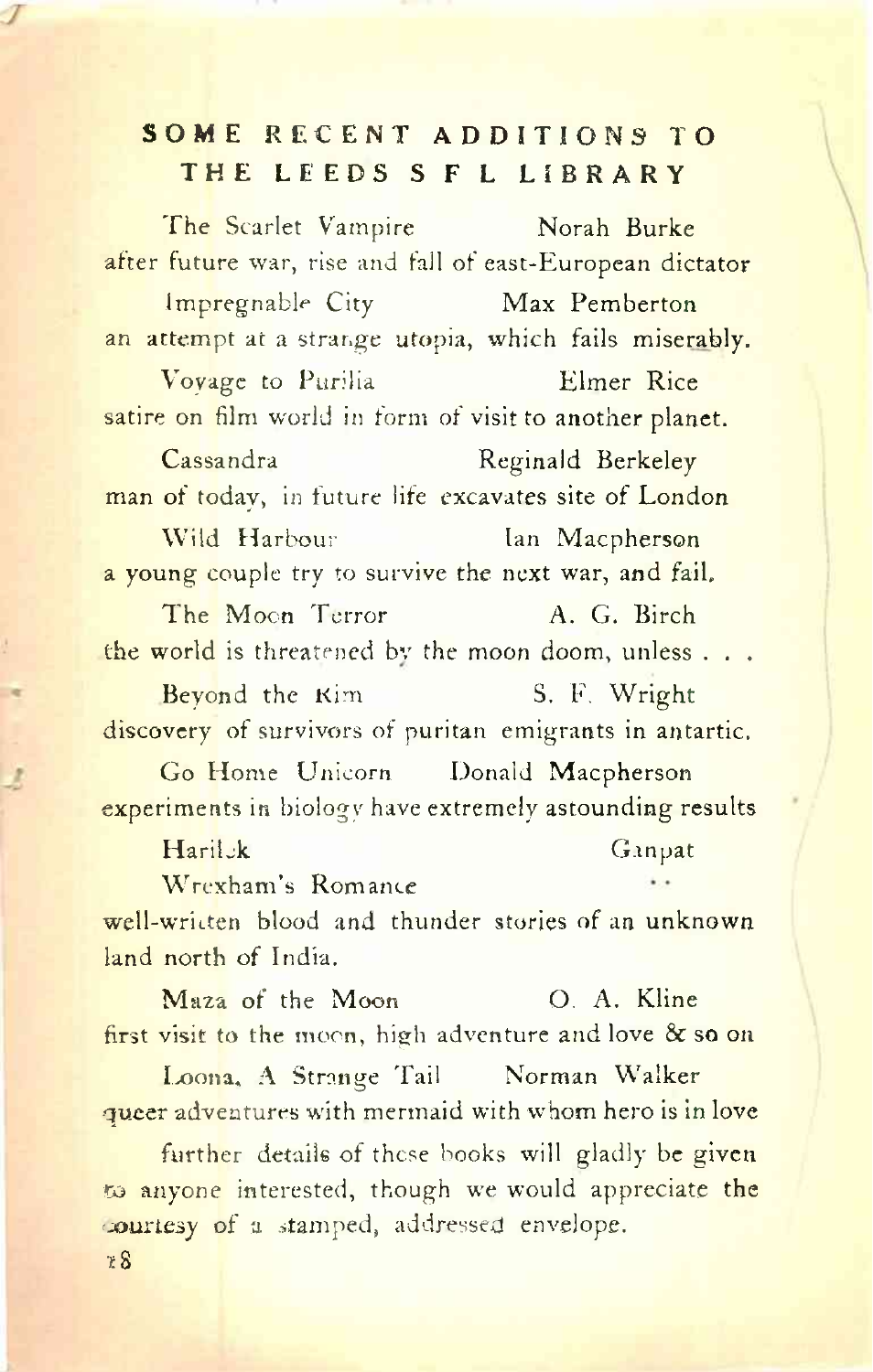#### **SOME RECENT ADDITIONS TO THE LEEDS <sup>S</sup> <sup>F</sup> <sup>L</sup> LIBRARY**

The Scarlet Vampire Norah Burke after future war, rise and fall of east-European dictator Impregnable City Max Pemberton an attempt at a strange utopia, which fails miserably. Voyage to Purilia Elmer Rice satire on film world in form of visit to another planet. Cassandra Reginald Berkeley man of today, in future life excavates site of London Wild Harbour Ian Macpherson a young couple try to survive the next war, and fail. The Moon Terror A. G. Birch the world is threatened by the moon doom, unless . . . Beyond the Kim S. F. Wright discovery of survivors of puritan emigrants in antartic. Go Home Unicorn Donald Macpherson experiments in biology have extremely astounding results Harilok Ganpat Wrexham's Romance well-written blood and thunder stories of an unknown

land north of India.

Maza of the Moon O. A. Kline first visit to the moon, high adventure and love & so on

Loona, A Strange Tail Norman Walker queer adventures with mermaid with whom hero is in love

further details of these books will gladly be given to anyone interested, though we would appreciate the 'courtesy of a stamped, addressed envelope.

\*8